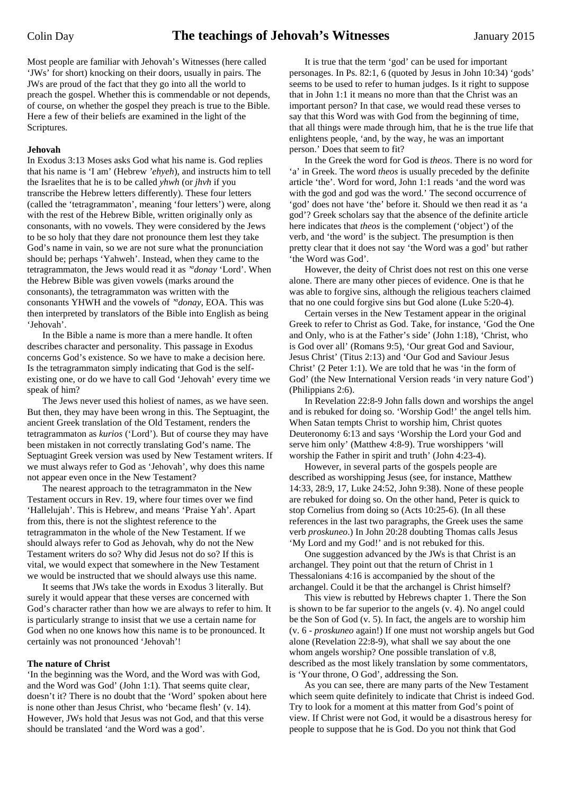Most people are familiar with Jehovah's Witnesses (here called 'JWs' for short) knocking on their doors, usually in pairs. The JWs are proud of the fact that they go into all the world to preach the gospel. Whether this is commendable or not depends, of course, on whether the gospel they preach is true to the Bible. Here a few of their beliefs are examined in the light of the Scriptures.

## **Jehovah**

In Exodus 3:13 Moses asks God what his name is. God replies that his name is 'I am' (Hebrew *'ehyeh*), and instructs him to tell the Israelites that he is to be called *yhwh* (or *jhvh* if you transcribe the Hebrew letters differently). These four letters (called the 'tetragrammaton', meaning 'four letters') were, along with the rest of the Hebrew Bible, written originally only as consonants, with no vowels. They were considered by the Jews to be so holy that they dare not pronounce them lest they take God's name in vain, so we are not sure what the pronunciation should be; perhaps 'Yahweh'. Instead, when they came to the tetragrammaton, the Jews would read it as *'a donay* 'Lord'. When the Hebrew Bible was given vowels (marks around the consonants), the tetragrammaton was written with the consonants YHWH and the vowels of *'<sup>a</sup>donay*, EOA. This was then interpreted by translators of the Bible into English as being 'Jehovah'.

In the Bible a name is more than a mere handle. It often describes character and personality. This passage in Exodus concerns God's existence. So we have to make a decision here. Is the tetragrammaton simply indicating that God is the selfexisting one, or do we have to call God 'Jehovah' every time we speak of him?

The Jews never used this holiest of names, as we have seen. But then, they may have been wrong in this. The Septuagint, the ancient Greek translation of the Old Testament, renders the tetragrammaton as *kurios* ('Lord'). But of course they may have been mistaken in not correctly translating God's name. The Septuagint Greek version was used by New Testament writers. If we must always refer to God as 'Jehovah', why does this name not appear even once in the New Testament?

The nearest approach to the tetragrammaton in the New Testament occurs in Rev. 19, where four times over we find 'Hallelujah'. This is Hebrew, and means 'Praise Yah'. Apart from this, there is not the slightest reference to the tetragrammaton in the whole of the New Testament. If we should always refer to God as Jehovah, why do not the New Testament writers do so? Why did Jesus not do so? If this is vital, we would expect that somewhere in the New Testament we would be instructed that we should always use this name.

It seems that JWs take the words in Exodus 3 literally. But surely it would appear that these verses are concerned with God's character rather than how we are always to refer to him. It is particularly strange to insist that we use a certain name for God when no one knows how this name is to be pronounced. It certainly was not pronounced 'Jehovah'!

## **The nature of Christ**

'In the beginning was the Word, and the Word was with God, and the Word was God' (John 1:1). That seems quite clear, doesn't it? There is no doubt that the 'Word' spoken about here is none other than Jesus Christ, who 'became flesh' (v. 14). However, JWs hold that Jesus was not God, and that this verse should be translated 'and the Word was a god'.

It is true that the term 'god' can be used for important personages. In Ps. 82:1, 6 (quoted by Jesus in John 10:34) 'gods' seems to be used to refer to human judges. Is it right to suppose that in John 1:1 it means no more than that the Christ was an important person? In that case, we would read these verses to say that this Word was with God from the beginning of time, that all things were made through him, that he is the true life that enlightens people, 'and, by the way, he was an important person.' Does that seem to fit?

In the Greek the word for God is *theos*. There is no word for 'a' in Greek. The word *theos* is usually preceded by the definite article 'the'. Word for word, John 1:1 reads 'and the word was with the god and god was the word.' The second occurrence of 'god' does not have 'the' before it. Should we then read it as 'a god'? Greek scholars say that the absence of the definite article here indicates that *theos* is the complement ('object') of the verb, and 'the word' is the subject. The presumption is then pretty clear that it does not say 'the Word was a god' but rather 'the Word was God'.

However, the deity of Christ does not rest on this one verse alone. There are many other pieces of evidence. One is that he was able to forgive sins, although the religious teachers claimed that no one could forgive sins but God alone (Luke 5:20-4).

Certain verses in the New Testament appear in the original Greek to refer to Christ as God. Take, for instance, 'God the One and Only, who is at the Father's side' (John 1:18), 'Christ, who is God over all' (Romans 9:5), 'Our great God and Saviour, Jesus Christ' (Titus 2:13) and 'Our God and Saviour Jesus Christ' (2 Peter 1:1). We are told that he was 'in the form of God' (the New International Version reads 'in very nature God') (Philippians 2:6).

In Revelation 22:8-9 John falls down and worships the angel and is rebuked for doing so. 'Worship God!' the angel tells him. When Satan tempts Christ to worship him, Christ quotes Deuteronomy 6:13 and says 'Worship the Lord your God and serve him only' (Matthew 4:8-9). True worshippers 'will worship the Father in spirit and truth' (John 4:23-4).

However, in several parts of the gospels people are described as worshipping Jesus (see, for instance, Matthew 14:33, 28:9, 17, Luke 24:52, John 9:38). None of these people are rebuked for doing so. On the other hand, Peter is quick to stop Cornelius from doing so (Acts 10:25-6). (In all these references in the last two paragraphs, the Greek uses the same verb *proskuneo*.) In John 20:28 doubting Thomas calls Jesus 'My Lord and my God!' and is not rebuked for this.

One suggestion advanced by the JWs is that Christ is an archangel. They point out that the return of Christ in 1 Thessalonians 4:16 is accompanied by the shout of the archangel. Could it be that the archangel is Christ himself?

This view is rebutted by Hebrews chapter 1. There the Son is shown to be far superior to the angels (v. 4). No angel could be the Son of God (v. 5). In fact, the angels are to worship him (v. 6 - *proskuneo* again!) If one must not worship angels but God alone (Revelation 22:8-9), what shall we say about the one whom angels worship? One possible translation of v.8, described as the most likely translation by some commentators, is 'Your throne, O God', addressing the Son.

As you can see, there are many parts of the New Testament which seem quite definitely to indicate that Christ is indeed God. Try to look for a moment at this matter from God's point of view. If Christ were not God, it would be a disastrous heresy for people to suppose that he is God. Do you not think that God